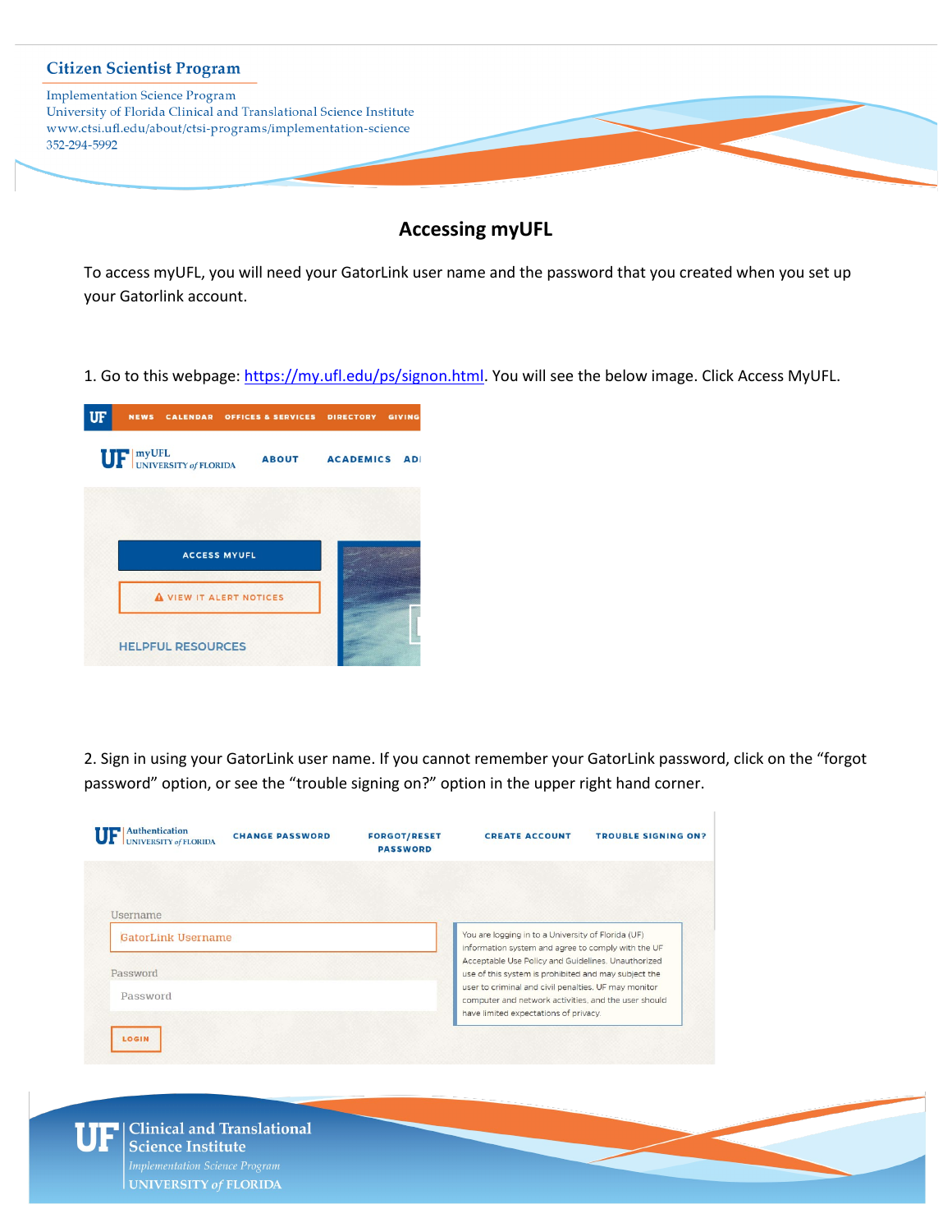

# **Accessing myUFL**

To access myUFL, you will need your GatorLink user name and the password that you created when you set up your Gatorlink account.

1. Go to this webpage: [https://my.ufl.edu/ps/signon.html.](https://my.ufl.edu/ps/signon.html) You will see the below image. Click Access MyUFL.



2. Sign in using your GatorLink user name. If you cannot remember your GatorLink password, click on the "forgot password" option, or see the "trouble signing on?" option in the upper right hand corner.

| <b>UNIVERSITY of FLORIDA</b>                 | <b>FORGOT/RESET</b><br><b>PASSWORD</b> | <b>CREATE ACCOUNT</b>                                                                                                                                              | <b>TROUBLE SIGNING ON?</b> |
|----------------------------------------------|----------------------------------------|--------------------------------------------------------------------------------------------------------------------------------------------------------------------|----------------------------|
| <b>Username</b><br><b>GatorLink Username</b> |                                        | You are logging in to a University of Florida (UF)<br>information system and agree to comply with the UF                                                           |                            |
| Password                                     |                                        | Acceptable Use Policy and Guidelines. Unauthorized<br>use of this system is prohibited and may subject the<br>user to criminal and civil penalties. UF may monitor |                            |
| Password                                     |                                        | computer and network activities, and the user should<br>have limited expectations of privacy.                                                                      |                            |

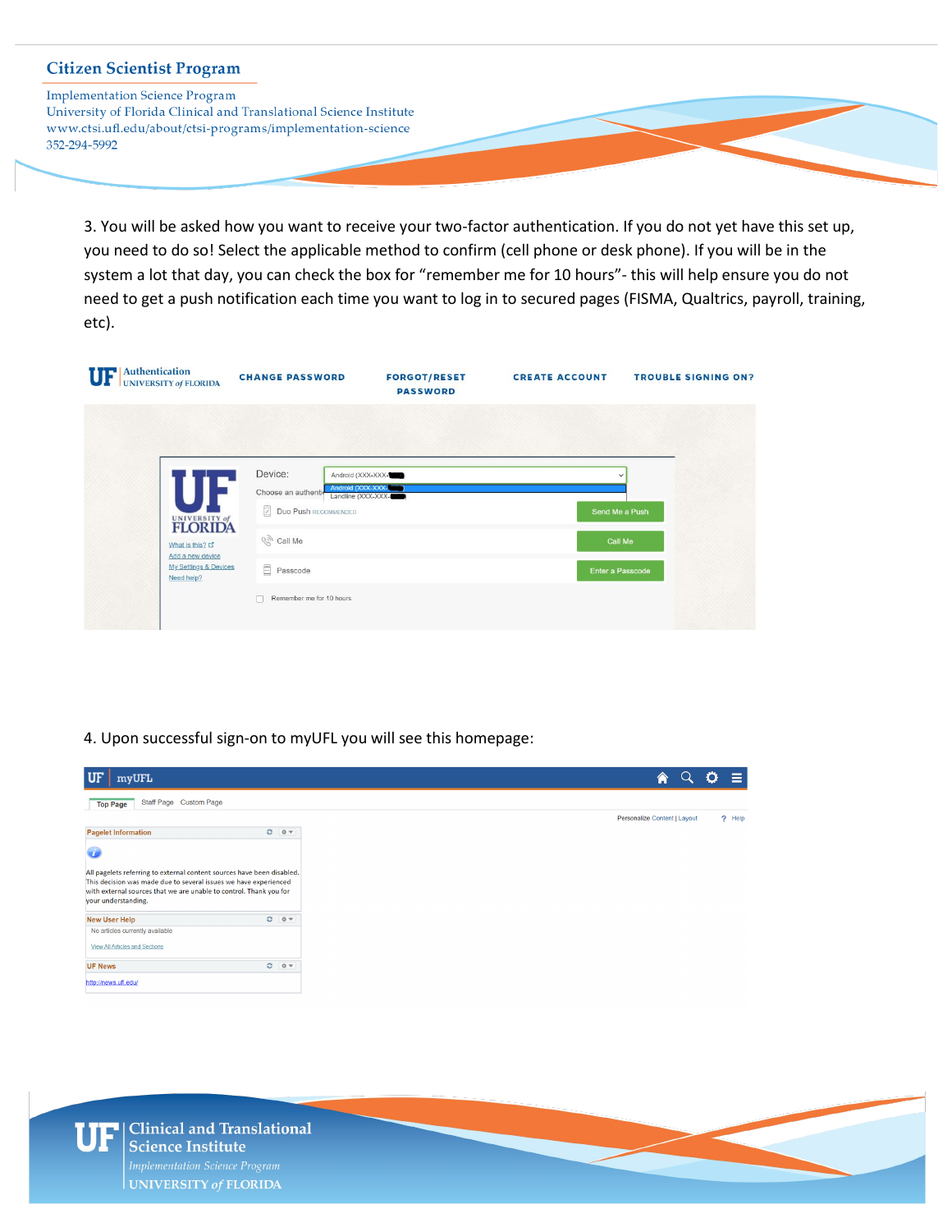**Implementation Science Program** University of Florida Clinical and Translational Science Institute www.ctsi.ufl.edu/about/ctsi-programs/implementation-science 352-294-5992

> 3. You will be asked how you want to receive your two-factor authentication. If you do not yet have this set up, you need to do so! Select the applicable method to confirm (cell phone or desk phone). If you will be in the system a lot that day, you can check the box for "remember me for 10 hours"- this will help ensure you do not need to get a push notification each time you want to log in to secured pages (FISMA, Qualtrics, payroll, training, etc).

| Authentication<br>UF<br><b>UNIVERSITY of FLORIDA</b>                                                    | <b>CHANGE PASSWORD</b>                                                                                                                                                        | <b>FORGOT/RESET</b><br><b>PASSWORD</b> | <b>CREATE ACCOUNT</b>                                         | <b>TROUBLE SIGNING ON?</b> |
|---------------------------------------------------------------------------------------------------------|-------------------------------------------------------------------------------------------------------------------------------------------------------------------------------|----------------------------------------|---------------------------------------------------------------|----------------------------|
|                                                                                                         |                                                                                                                                                                               |                                        |                                                               |                            |
| UNIVERSITY of<br>What is this? L'<br>Add a new device<br><b>My Settings &amp; Devices</b><br>Need help? | Device:<br>Android (XXX-XXX-<br>Choose an authenti-<br>Landline (XXX-XXX-<br>Duo Push RECOMMENDED<br>$\mathbb{R}^n$ Call Me<br>$\Box$<br>Passcode<br>Remember me for 10 hours | Android (XXX-XXX-                      | $\checkmark$<br>Send Me a Push<br>Call Me<br>Enter a Passcode |                            |

#### 4. Upon successful sign-on to myUFL you will see this homepage:

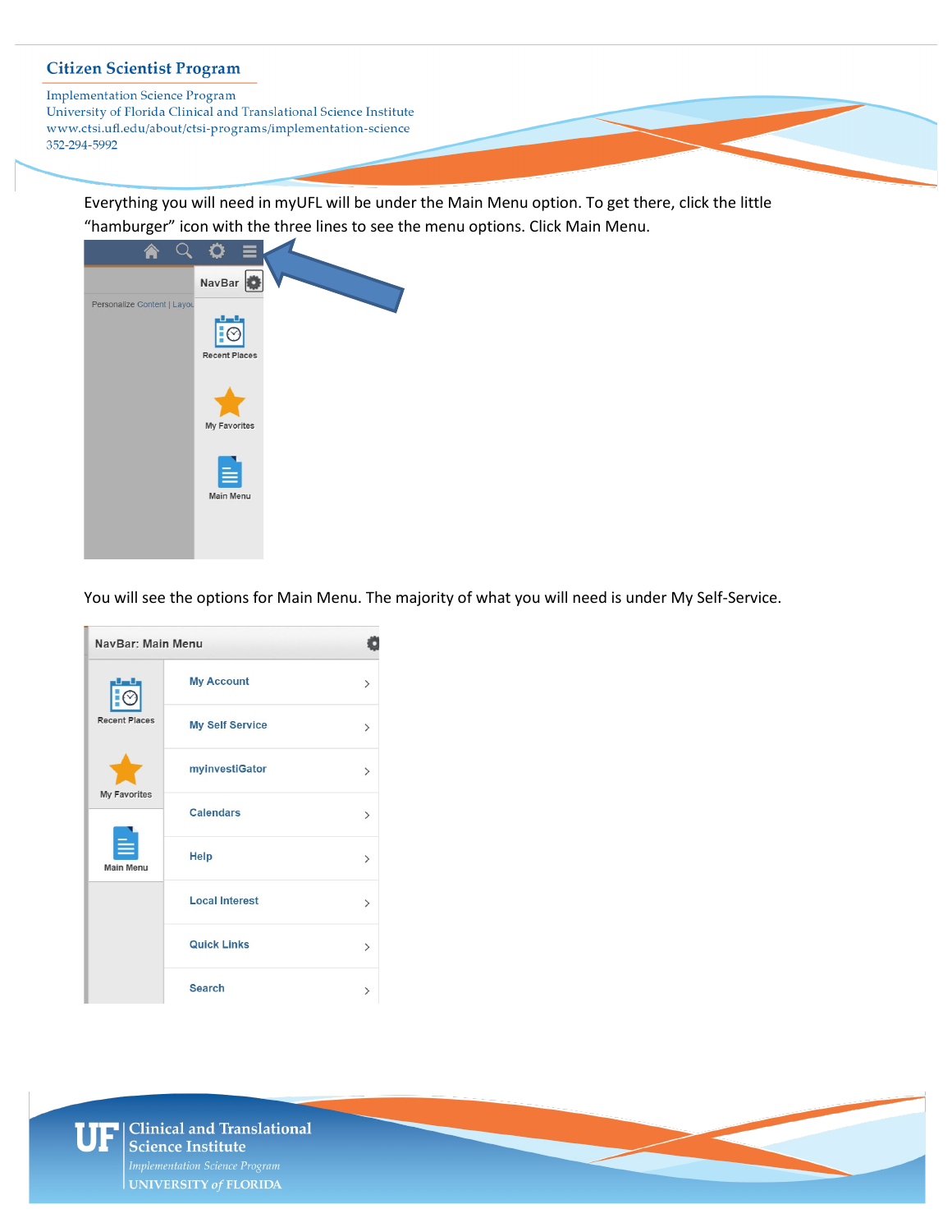**Implementation Science Program** University of Florida Clinical and Translational Science Institute www.ctsi.ufl.edu/about/ctsi-programs/implementation-science 352-294-5992

Everything you will need in myUFL will be under the Main Menu option. To get there, click the little "hamburger" icon with the three lines to see the menu options. Click Main Menu.



You will see the options for Main Menu. The majority of what you will need is under My Self-Service.

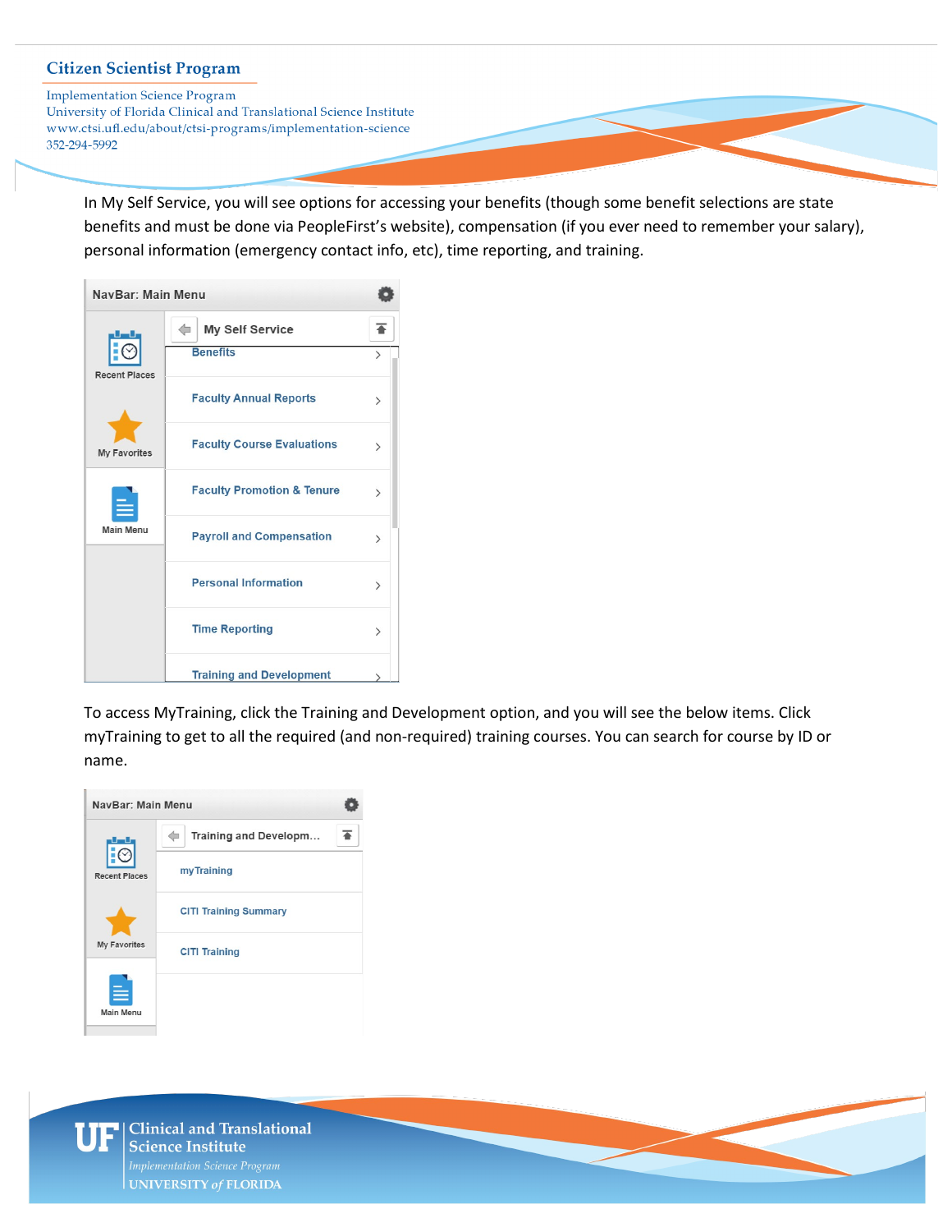**Implementation Science Program** 

University of Florida Clinical and Translational Science Institute www.ctsi.ufl.edu/about/ctsi-programs/implementation-science 352-294-5992

In My Self Service, you will see options for accessing your benefits (though some benefit selections are state benefits and must be done via PeopleFirst's website), compensation (if you ever need to remember your salary), personal information (emergency contact info, etc), time reporting, and training.

| NavBar: Main Menu    |                                       |               |
|----------------------|---------------------------------------|---------------|
|                      | <b>My Self Service</b>                |               |
| <b>Recent Places</b> | <b>Benefits</b>                       | $\mathcal{P}$ |
|                      | <b>Faculty Annual Reports</b>         | ゝ             |
| <b>My Favorites</b>  | <b>Faculty Course Evaluations</b>     | ⋋             |
| <b>Main Menu</b>     | <b>Faculty Promotion &amp; Tenure</b> | $\mathcal{P}$ |
|                      | <b>Payroll and Compensation</b>       | $\mathcal{P}$ |
|                      | <b>Personal Information</b>           | $\mathcal{P}$ |
|                      | <b>Time Reporting</b>                 | $\mathcal{P}$ |
|                      | <b>Training and Development</b>       |               |

To access MyTraining, click the Training and Development option, and you will see the below items. Click myTraining to get to all the required (and non-required) training courses. You can search for course by ID or name.

| NavBar: Main Menu    |                              |  |
|----------------------|------------------------------|--|
|                      | Training and Developm        |  |
| <b>Recent Places</b> | my Training                  |  |
| <b>My Favorites</b>  | <b>CITI Training Summary</b> |  |
|                      | <b>CITI Training</b>         |  |
| <b>Main Menu</b>     |                              |  |